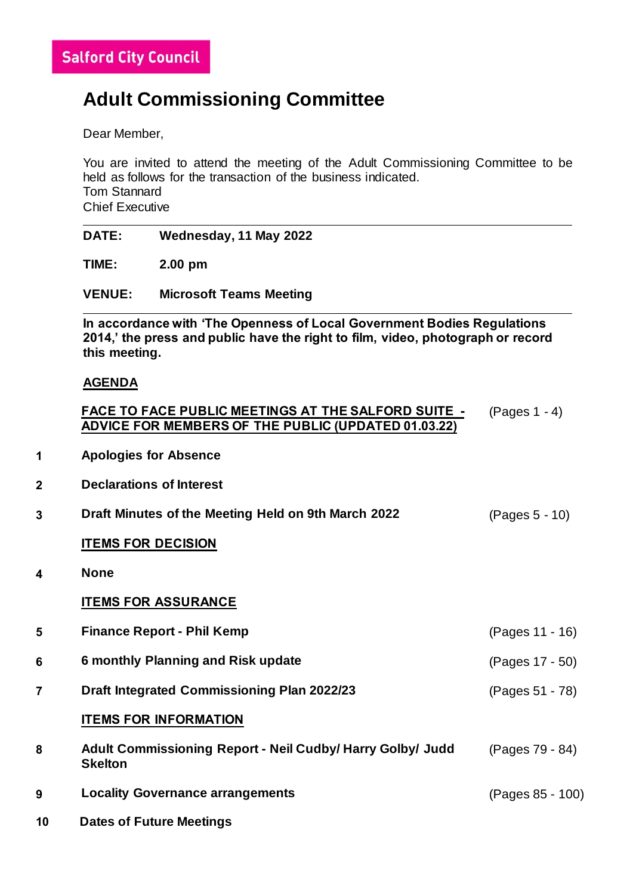## **Adult Commissioning Committee**

Dear Member,

You are invited to attend the meeting of the Adult Commissioning Committee to be held as follows for the transaction of the business indicated. Tom Stannard Chief Executive

|   | <b>DATE:</b>                                                                                                                                                                | Wednesday, 11 May 2022                                                                                                   |                  |  |
|---|-----------------------------------------------------------------------------------------------------------------------------------------------------------------------------|--------------------------------------------------------------------------------------------------------------------------|------------------|--|
|   | TIME:                                                                                                                                                                       | 2.00 pm                                                                                                                  |                  |  |
|   | <b>VENUE:</b>                                                                                                                                                               | <b>Microsoft Teams Meeting</b>                                                                                           |                  |  |
|   | In accordance with 'The Openness of Local Government Bodies Regulations<br>2014,' the press and public have the right to film, video, photograph or record<br>this meeting. |                                                                                                                          |                  |  |
|   | <b>AGENDA</b>                                                                                                                                                               |                                                                                                                          |                  |  |
|   |                                                                                                                                                                             | <b>FACE TO FACE PUBLIC MEETINGS AT THE SALFORD SUITE -</b><br><b>ADVICE FOR MEMBERS OF THE PUBLIC (UPDATED 01.03.22)</b> | $(Pages 1 - 4)$  |  |
| 1 | <b>Apologies for Absence</b>                                                                                                                                                |                                                                                                                          |                  |  |
| 2 | <b>Declarations of Interest</b>                                                                                                                                             |                                                                                                                          |                  |  |
| 3 |                                                                                                                                                                             | Draft Minutes of the Meeting Held on 9th March 2022<br>(Pages 5 - 10)                                                    |                  |  |
|   | <b>ITEMS FOR DECISION</b>                                                                                                                                                   |                                                                                                                          |                  |  |
| 4 | <b>None</b>                                                                                                                                                                 |                                                                                                                          |                  |  |
|   |                                                                                                                                                                             | <b>ITEMS FOR ASSURANCE</b>                                                                                               |                  |  |
| 5 |                                                                                                                                                                             | <b>Finance Report - Phil Kemp</b>                                                                                        | (Pages 11 - 16)  |  |
| 6 |                                                                                                                                                                             | <b>6 monthly Planning and Risk update</b>                                                                                | (Pages 17 - 50)  |  |
| 7 |                                                                                                                                                                             | <b>Draft Integrated Commissioning Plan 2022/23</b>                                                                       | (Pages 51 - 78)  |  |
|   |                                                                                                                                                                             | <b>ITEMS FOR INFORMATION</b>                                                                                             |                  |  |
| 8 | <b>Skelton</b>                                                                                                                                                              | Adult Commissioning Report - Neil Cudby/ Harry Golby/ Judd                                                               | (Pages 79 - 84)  |  |
| 9 |                                                                                                                                                                             | <b>Locality Governance arrangements</b>                                                                                  | (Pages 85 - 100) |  |

**10 Dates of Future Meetings**

**4 None**